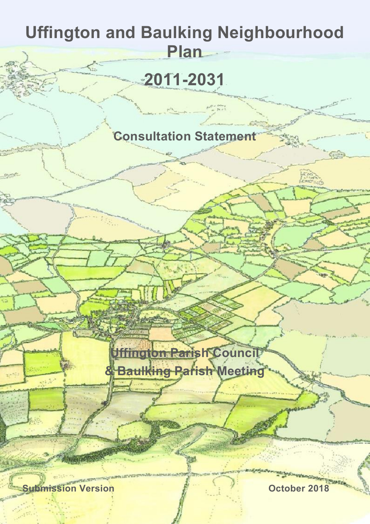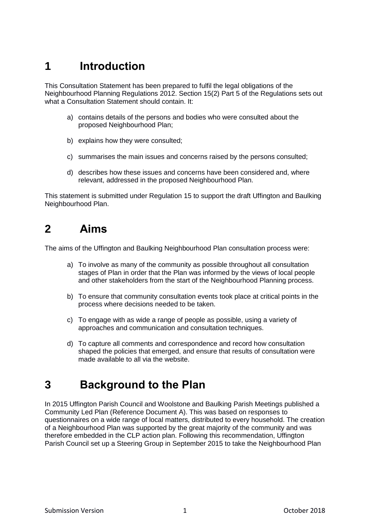# **1 Introduction**

This Consultation Statement has been prepared to fulfil the legal obligations of the Neighbourhood Planning Regulations 2012. Section 15(2) Part 5 of the Regulations sets out what a Consultation Statement should contain. It:

- a) contains details of the persons and bodies who were consulted about the proposed Neighbourhood Plan;
- b) explains how they were consulted;
- c) summarises the main issues and concerns raised by the persons consulted;
- d) describes how these issues and concerns have been considered and, where relevant, addressed in the proposed Neighbourhood Plan.

This statement is submitted under Regulation 15 to support the draft Uffington and Baulking Neighbourhood Plan.

### **2 Aims**

The aims of the Uffington and Baulking Neighbourhood Plan consultation process were:

- a) To involve as many of the community as possible throughout all consultation stages of Plan in order that the Plan was informed by the views of local people and other stakeholders from the start of the Neighbourhood Planning process.
- b) To ensure that community consultation events took place at critical points in the process where decisions needed to be taken.
- c) To engage with as wide a range of people as possible, using a variety of approaches and communication and consultation techniques.
- d) To capture all comments and correspondence and record how consultation shaped the policies that emerged, and ensure that results of consultation were made available to all via the website.

## **3 Background to the Plan**

In 2015 Uffington Parish Council and Woolstone and Baulking Parish Meetings published a Community Led Plan (Reference Document A). This was based on responses to questionnaires on a wide range of local matters, distributed to every household. The creation of a Neighbourhood Plan was supported by the great majority of the community and was therefore embedded in the CLP action plan. Following this recommendation, Uffington Parish Council set up a Steering Group in September 2015 to take the Neighbourhood Plan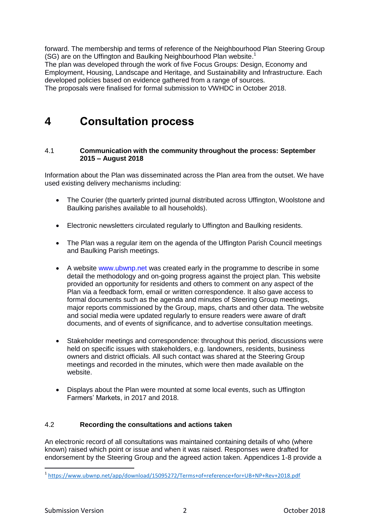forward. The membership and terms of reference of the Neighbourhood Plan Steering Group (SG) are on the Uffington and Baulking Neighbourhood Plan website. 1

The plan was developed through the work of five Focus Groups: Design, Economy and Employment, Housing, Landscape and Heritage, and Sustainability and Infrastructure. Each developed policies based on evidence gathered from a range of sources.

The proposals were finalised for formal submission to VWHDC in October 2018.

### **4 Consultation process**

#### 4.1 **Communication with the community throughout the process: September 2015 – August 2018**

Information about the Plan was disseminated across the Plan area from the outset. We have used existing delivery mechanisms including:

- The Courier (the quarterly printed journal distributed across Uffington, Woolstone and Baulking parishes available to all households).
- Electronic newsletters circulated regularly to Uffington and Baulking residents.
- The Plan was a regular item on the agenda of the Uffington Parish Council meetings and Baulking Parish meetings.
- A website www.ubwnp.net was created early in the programme to describe in some detail the methodology and on-going progress against the project plan. This website provided an opportunity for residents and others to comment on any aspect of the Plan via a feedback form, email or written correspondence. It also gave access to formal documents such as the agenda and minutes of Steering Group meetings, major reports commissioned by the Group, maps, charts and other data. The website and social media were updated regularly to ensure readers were aware of draft documents, and of events of significance, and to advertise consultation meetings.
- Stakeholder meetings and correspondence: throughout this period, discussions were held on specific issues with stakeholders, e.g. landowners, residents, business owners and district officials. All such contact was shared at the Steering Group meetings and recorded in the minutes, which were then made available on the website.
- Displays about the Plan were mounted at some local events, such as Uffington Farmers' Markets, in 2017 and 2018.

#### 4.2 **Recording the consultations and actions taken**

An electronic record of all consultations was maintained containing details of who (where known) raised which point or issue and when it was raised. Responses were drafted for endorsement by the Steering Group and the agreed action taken. Appendices 1-8 provide a

1

<sup>1</sup> <https://www.ubwnp.net/app/download/15095272/Terms+of+reference+for+UB+NP+Rev+2018.pdf>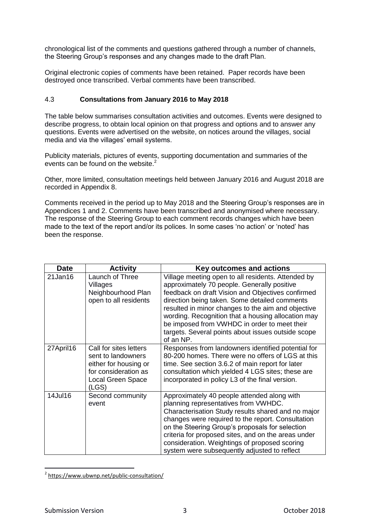chronological list of the comments and questions gathered through a number of channels, the Steering Group's responses and any changes made to the draft Plan.

Original electronic copies of comments have been retained. Paper records have been destroyed once transcribed. Verbal comments have been transcribed.

#### 4.3 **Consultations from January 2016 to May 2018**

The table below summarises consultation activities and outcomes. Events were designed to describe progress, to obtain local opinion on that progress and options and to answer any questions. Events were advertised on the website, on notices around the villages, social media and via the villages' email systems.

Publicity materials, pictures of events, supporting documentation and summaries of the events can be found on the website.<sup>2</sup>

Other, more limited, consultation meetings held between January 2016 and August 2018 are recorded in Appendix 8.

Comments received in the period up to May 2018 and the Steering Group's responses are in Appendices 1 and 2. Comments have been transcribed and anonymised where necessary. The response of the Steering Group to each comment records changes which have been made to the text of the report and/or its polices. In some cases 'no action' or 'noted' has been the response.

| <b>Date</b> | <b>Activity</b>                                                                                                            | Key outcomes and actions                                                                                                                                                                                                                                                                                                                                                                                                               |
|-------------|----------------------------------------------------------------------------------------------------------------------------|----------------------------------------------------------------------------------------------------------------------------------------------------------------------------------------------------------------------------------------------------------------------------------------------------------------------------------------------------------------------------------------------------------------------------------------|
| 21Jan16     | Launch of Three<br>Villages<br>Neighbourhood Plan<br>open to all residents                                                 | Village meeting open to all residents. Attended by<br>approximately 70 people. Generally positive<br>feedback on draft Vision and Objectives confirmed<br>direction being taken. Some detailed comments<br>resulted in minor changes to the aim and objective<br>wording. Recognition that a housing allocation may<br>be imposed from VWHDC in order to meet their<br>targets. Several points about issues outside scope<br>of an NP. |
| 27April16   | Call for sites letters<br>sent to landowners<br>either for housing or<br>for consideration as<br>Local Green Space<br>(LS) | Responses from landowners identified potential for<br>80-200 homes. There were no offers of LGS at this<br>time. See section 3.6.2 of main report for later<br>consultation which yielded 4 LGS sites; these are<br>incorporated in policy L3 of the final version.                                                                                                                                                                    |
| 14Jul16     | Second community<br>event                                                                                                  | Approximately 40 people attended along with<br>planning representatives from VWHDC.<br>Characterisation Study results shared and no major<br>changes were required to the report. Consultation<br>on the Steering Group's proposals for selection<br>criteria for proposed sites, and on the areas under<br>consideration. Weightings of proposed scoring<br>system were subsequently adjusted to reflect                              |

<sup>1</sup> <sup>2</sup> <https://www.ubwnp.net/public-consultation/>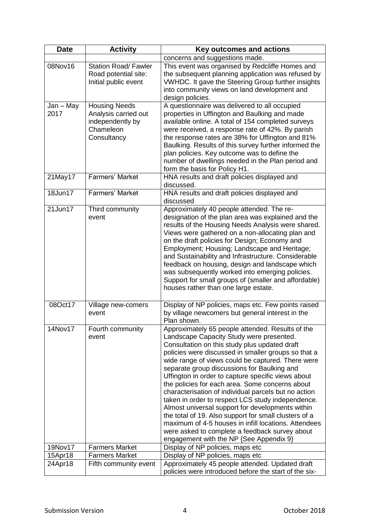| <b>Date</b>       | <b>Activity</b>                                                                              | Key outcomes and actions                                                                                                                                                                                                                                                                                                                                                                                                                                                                                                                                                                                                                                                                                                                                                                         |  |  |  |
|-------------------|----------------------------------------------------------------------------------------------|--------------------------------------------------------------------------------------------------------------------------------------------------------------------------------------------------------------------------------------------------------------------------------------------------------------------------------------------------------------------------------------------------------------------------------------------------------------------------------------------------------------------------------------------------------------------------------------------------------------------------------------------------------------------------------------------------------------------------------------------------------------------------------------------------|--|--|--|
|                   |                                                                                              | concerns and suggestions made.                                                                                                                                                                                                                                                                                                                                                                                                                                                                                                                                                                                                                                                                                                                                                                   |  |  |  |
| 08Nov16           | <b>Station Road/Fawler</b><br>Road potential site:<br>Initial public event                   | This event was organised by Redcliffe Homes and<br>the subsequent planning application was refused by<br>VWHDC. It gave the Steering Group further insights<br>into community views on land development and<br>design policies.                                                                                                                                                                                                                                                                                                                                                                                                                                                                                                                                                                  |  |  |  |
| Jan - May<br>2017 | <b>Housing Needs</b><br>Analysis carried out<br>independently by<br>Chameleon<br>Consultancy | A questionnaire was delivered to all occupied<br>properties in Uffington and Baulking and made<br>available online. A total of 154 completed surveys<br>were received, a response rate of 42%. By parish<br>the response rates are 38% for Uffington and 81%<br>Baulking. Results of this survey further informed the<br>plan policies. Key outcome was to define the<br>number of dwellings needed in the Plan period and<br>form the basis for Policy H1.                                                                                                                                                                                                                                                                                                                                      |  |  |  |
| 21May17           | Farmers' Market                                                                              | HNA results and draft policies displayed and<br>discussed.                                                                                                                                                                                                                                                                                                                                                                                                                                                                                                                                                                                                                                                                                                                                       |  |  |  |
| 18Jun17           | <b>Farmers' Market</b>                                                                       | HNA results and draft policies displayed and<br>discussed                                                                                                                                                                                                                                                                                                                                                                                                                                                                                                                                                                                                                                                                                                                                        |  |  |  |
| 21Jun17           | Third community<br>event                                                                     | Approximately 40 people attended. The re-<br>designation of the plan area was explained and the<br>results of the Housing Needs Analysis were shared.<br>Views were gathered on a non-allocating plan and<br>on the draft policies for Design; Economy and<br>Employment; Housing; Landscape and Heritage;<br>and Sustainability and Infrastructure. Considerable<br>feedback on housing, design and landscape which<br>was subsequently worked into emerging policies.<br>Support for small groups of (smaller and affordable)<br>houses rather than one large estate.                                                                                                                                                                                                                          |  |  |  |
| 08Oct17           | Village new-comers<br>event                                                                  | Display of NP policies, maps etc. Few points raised<br>by village newcomers but general interest in the<br>Plan shown.                                                                                                                                                                                                                                                                                                                                                                                                                                                                                                                                                                                                                                                                           |  |  |  |
| 14Nov17           | Fourth community<br>event                                                                    | Approximately 65 people attended. Results of the<br>Landscape Capacity Study were presented.<br>Consultation on this study plus updated draft<br>policies were discussed in smaller groups so that a<br>wide range of views could be captured. There were<br>separate group discussions for Baulking and<br>Uffington in order to capture specific views about<br>the policies for each area. Some concerns about<br>characterisation of individual parcels but no action<br>taken in order to respect LCS study independence.<br>Almost universal support for developments within<br>the total of 19. Also support for small clusters of a<br>maximum of 4-5 houses in infill locations. Attendees<br>were asked to complete a feedback survey about<br>engagement with the NP {See Appendix 9} |  |  |  |
| 19Nov17           | <b>Farmers Market</b>                                                                        | Display of NP policies, maps etc                                                                                                                                                                                                                                                                                                                                                                                                                                                                                                                                                                                                                                                                                                                                                                 |  |  |  |
| 15Apr18           | <b>Farmers Market</b>                                                                        | Display of NP policies, maps etc                                                                                                                                                                                                                                                                                                                                                                                                                                                                                                                                                                                                                                                                                                                                                                 |  |  |  |
| 24Apr18           | Fifth community event                                                                        | Approximately 45 people attended. Updated draft<br>policies were introduced before the start of the six-                                                                                                                                                                                                                                                                                                                                                                                                                                                                                                                                                                                                                                                                                         |  |  |  |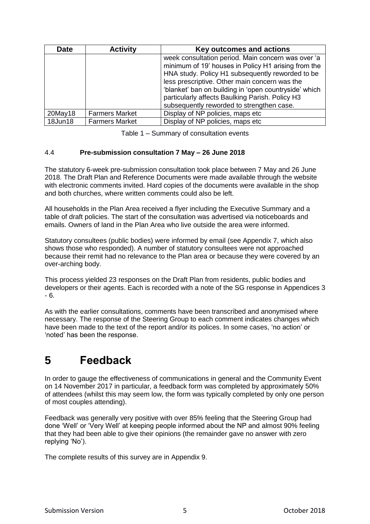| <b>Date</b> | <b>Activity</b>       | Key outcomes and actions                                                                                                                                                                                                                                                                                                                                                |  |  |  |
|-------------|-----------------------|-------------------------------------------------------------------------------------------------------------------------------------------------------------------------------------------------------------------------------------------------------------------------------------------------------------------------------------------------------------------------|--|--|--|
|             |                       | week consultation period. Main concern was over 'a<br>minimum of 19' houses in Policy H1 arising from the<br>HNA study. Policy H1 subsequently reworded to be<br>less prescriptive. Other main concern was the<br>'blanket' ban on building in 'open countryside' which<br>particularly affects Baulking Parish. Policy H3<br>subsequently reworded to strengthen case. |  |  |  |
| $20$ May18  | <b>Farmers Market</b> | Display of NP policies, maps etc                                                                                                                                                                                                                                                                                                                                        |  |  |  |
| 18Jun18     | <b>Farmers Market</b> | Display of NP policies, maps etc                                                                                                                                                                                                                                                                                                                                        |  |  |  |

| Table 1 – Summary of consultation events |  |  |  |
|------------------------------------------|--|--|--|
|------------------------------------------|--|--|--|

### 4.4 **Pre-submission consultation 7 May – 26 June 2018**

The statutory 6-week pre-submission consultation took place between 7 May and 26 June 2018. The Draft Plan and Reference Documents were made available through the website with electronic comments invited. Hard copies of the documents were available in the shop and both churches, where written comments could also be left.

All households in the Plan Area received a flyer including the Executive Summary and a table of draft policies. The start of the consultation was advertised via noticeboards and emails. Owners of land in the Plan Area who live outside the area were informed.

Statutory consultees (public bodies) were informed by email (see Appendix 7, which also shows those who responded). A number of statutory consultees were not approached because their remit had no relevance to the Plan area or because they were covered by an over-arching body.

This process yielded 23 responses on the Draft Plan from residents, public bodies and developers or their agents. Each is recorded with a note of the SG response in Appendices 3 - 6.

As with the earlier consultations, comments have been transcribed and anonymised where necessary. The response of the Steering Group to each comment indicates changes which have been made to the text of the report and/or its polices. In some cases, 'no action' or 'noted' has been the response.

## **5 Feedback**

In order to gauge the effectiveness of communications in general and the Community Event on 14 November 2017 in particular, a feedback form was completed by approximately 50% of attendees (whilst this may seem low, the form was typically completed by only one person of most couples attending).

Feedback was generally very positive with over 85% feeling that the Steering Group had done 'Well' or 'Very Well' at keeping people informed about the NP and almost 90% feeling that they had been able to give their opinions (the remainder gave no answer with zero replying 'No').

The complete results of this survey are in Appendix 9.